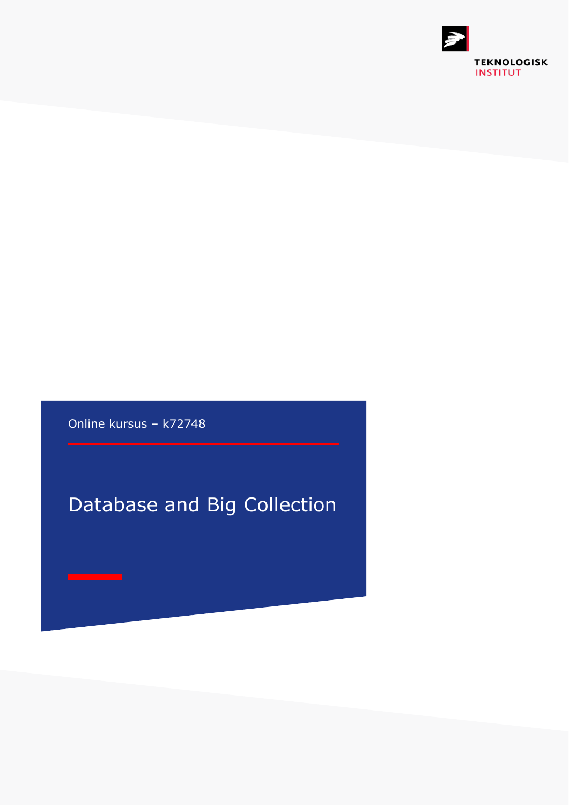

Online kursus – k72748

# Database and Big Collection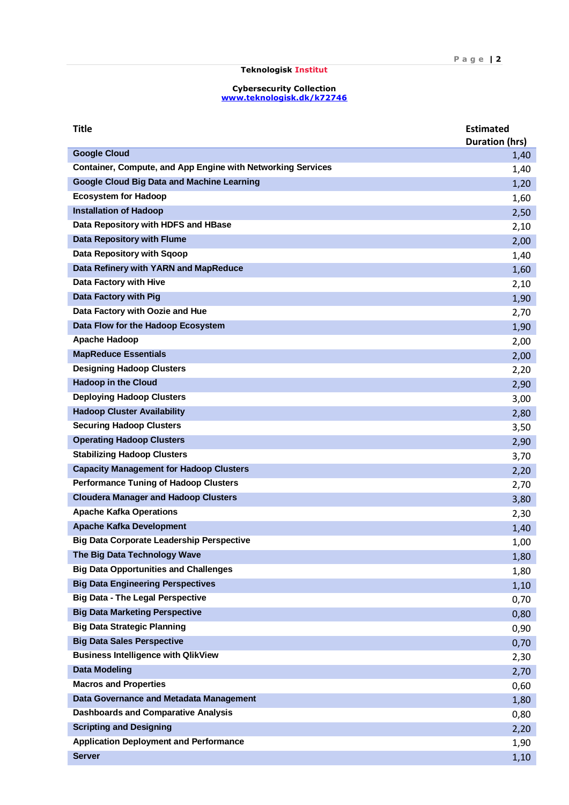| <b>Title</b>                                                       | <b>Estimated</b><br><b>Duration (hrs)</b> |
|--------------------------------------------------------------------|-------------------------------------------|
| <b>Google Cloud</b>                                                | 1,40                                      |
| <b>Container, Compute, and App Engine with Networking Services</b> | 1,40                                      |
| <b>Google Cloud Big Data and Machine Learning</b>                  | 1,20                                      |
| <b>Ecosystem for Hadoop</b>                                        | 1,60                                      |
| <b>Installation of Hadoop</b>                                      | 2,50                                      |
| Data Repository with HDFS and HBase                                | 2,10                                      |
| <b>Data Repository with Flume</b>                                  | 2,00                                      |
| Data Repository with Sqoop                                         | 1,40                                      |
| Data Refinery with YARN and MapReduce                              | 1,60                                      |
| Data Factory with Hive                                             | 2,10                                      |
| Data Factory with Pig                                              | 1,90                                      |
| Data Factory with Oozie and Hue                                    | 2,70                                      |
| Data Flow for the Hadoop Ecosystem                                 | 1,90                                      |
| <b>Apache Hadoop</b>                                               | 2,00                                      |
| <b>MapReduce Essentials</b>                                        | 2,00                                      |
| <b>Designing Hadoop Clusters</b>                                   | 2,20                                      |
| <b>Hadoop in the Cloud</b>                                         | 2,90                                      |
| <b>Deploying Hadoop Clusters</b>                                   | 3,00                                      |
| <b>Hadoop Cluster Availability</b>                                 | 2,80                                      |
| <b>Securing Hadoop Clusters</b>                                    | 3,50                                      |
| <b>Operating Hadoop Clusters</b>                                   | 2,90                                      |
| <b>Stabilizing Hadoop Clusters</b>                                 | 3,70                                      |
| <b>Capacity Management for Hadoop Clusters</b>                     | 2,20                                      |
| <b>Performance Tuning of Hadoop Clusters</b>                       | 2,70                                      |
| <b>Cloudera Manager and Hadoop Clusters</b>                        | 3,80                                      |
| <b>Apache Kafka Operations</b>                                     | 2,30                                      |
| <b>Apache Kafka Development</b>                                    | 1,40                                      |
| <b>Big Data Corporate Leadership Perspective</b>                   | 1,00                                      |
| The Big Data Technology Wave                                       | 1,80                                      |
| <b>Big Data Opportunities and Challenges</b>                       | 1,80                                      |
| <b>Big Data Engineering Perspectives</b>                           | 1,10                                      |
| <b>Big Data - The Legal Perspective</b>                            | 0,70                                      |
| <b>Big Data Marketing Perspective</b>                              | 0,80                                      |
| <b>Big Data Strategic Planning</b>                                 | 0,90                                      |
| <b>Big Data Sales Perspective</b>                                  | 0,70                                      |
| <b>Business Intelligence with QlikView</b>                         | 2,30                                      |
| <b>Data Modeling</b>                                               | 2,70                                      |
| <b>Macros and Properties</b>                                       | 0,60                                      |
| Data Governance and Metadata Management                            | 1,80                                      |
| <b>Dashboards and Comparative Analysis</b>                         | 0,80                                      |
| <b>Scripting and Designing</b>                                     | 2,20                                      |
| <b>Application Deployment and Performance</b>                      | 1,90                                      |
| <b>Server</b>                                                      | 1,10                                      |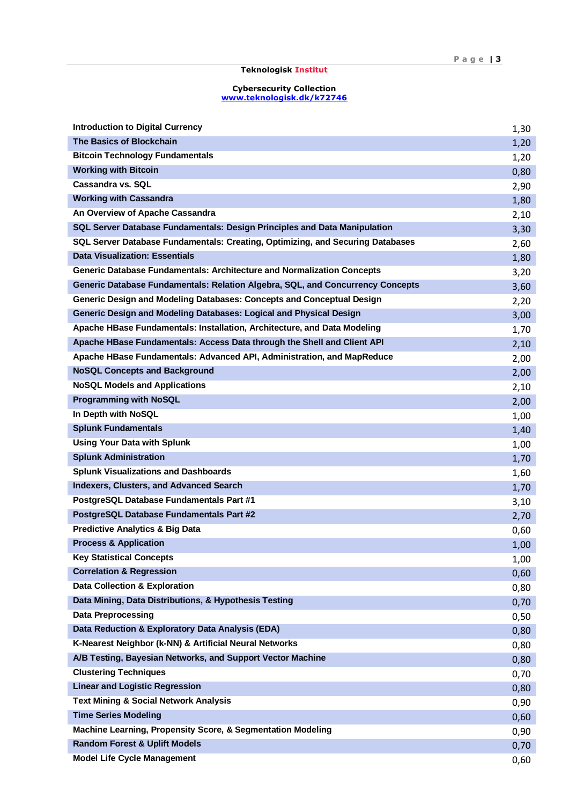| <b>Introduction to Digital Currency</b>                                        | 1,30 |
|--------------------------------------------------------------------------------|------|
| <b>The Basics of Blockchain</b>                                                | 1,20 |
| <b>Bitcoin Technology Fundamentals</b>                                         | 1,20 |
| <b>Working with Bitcoin</b>                                                    | 0,80 |
| Cassandra vs. SQL                                                              | 2,90 |
| <b>Working with Cassandra</b>                                                  | 1,80 |
| An Overview of Apache Cassandra                                                | 2,10 |
| SQL Server Database Fundamentals: Design Principles and Data Manipulation      | 3,30 |
| SQL Server Database Fundamentals: Creating, Optimizing, and Securing Databases | 2,60 |
| <b>Data Visualization: Essentials</b>                                          | 1,80 |
| <b>Generic Database Fundamentals: Architecture and Normalization Concepts</b>  | 3,20 |
| Generic Database Fundamentals: Relation Algebra, SQL, and Concurrency Concepts | 3,60 |
| Generic Design and Modeling Databases: Concepts and Conceptual Design          | 2,20 |
| Generic Design and Modeling Databases: Logical and Physical Design             | 3,00 |
| Apache HBase Fundamentals: Installation, Architecture, and Data Modeling       | 1,70 |
| Apache HBase Fundamentals: Access Data through the Shell and Client API        | 2,10 |
| Apache HBase Fundamentals: Advanced API, Administration, and MapReduce         | 2,00 |
| <b>NoSQL Concepts and Background</b>                                           | 2,00 |
| <b>NoSQL Models and Applications</b>                                           | 2,10 |
| <b>Programming with NoSQL</b>                                                  | 2,00 |
| In Depth with NoSQL                                                            | 1,00 |
| <b>Splunk Fundamentals</b>                                                     | 1,40 |
| <b>Using Your Data with Splunk</b>                                             | 1,00 |
| <b>Splunk Administration</b>                                                   | 1,70 |
| <b>Splunk Visualizations and Dashboards</b>                                    | 1,60 |
| <b>Indexers, Clusters, and Advanced Search</b>                                 | 1,70 |
| PostgreSQL Database Fundamentals Part #1                                       | 3,10 |
| PostgreSQL Database Fundamentals Part #2                                       | 2,70 |
| <b>Predictive Analytics &amp; Big Data</b>                                     | 0,60 |
| <b>Process &amp; Application</b>                                               | 1,00 |
| <b>Key Statistical Concepts</b>                                                | 1,00 |
| <b>Correlation &amp; Regression</b>                                            | 0,60 |
| <b>Data Collection &amp; Exploration</b>                                       | 0,80 |
| Data Mining, Data Distributions, & Hypothesis Testing                          | 0,70 |
| <b>Data Preprocessing</b>                                                      | 0,50 |
| Data Reduction & Exploratory Data Analysis (EDA)                               | 0,80 |
| K-Nearest Neighbor (k-NN) & Artificial Neural Networks                         | 0,80 |
| A/B Testing, Bayesian Networks, and Support Vector Machine                     | 0,80 |
| <b>Clustering Techniques</b>                                                   | 0,70 |
| <b>Linear and Logistic Regression</b>                                          | 0,80 |
| <b>Text Mining &amp; Social Network Analysis</b>                               | 0,90 |
| <b>Time Series Modeling</b>                                                    | 0,60 |
| Machine Learning, Propensity Score, & Segmentation Modeling                    | 0,90 |
| <b>Random Forest &amp; Uplift Models</b>                                       | 0,70 |
| <b>Model Life Cycle Management</b>                                             | 0,60 |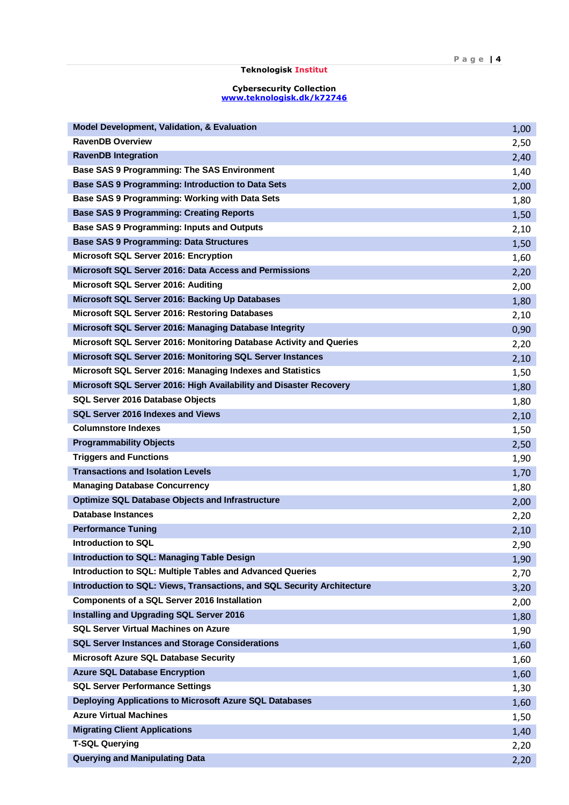| <b>Model Development, Validation, &amp; Evaluation</b>                  | 1,00 |
|-------------------------------------------------------------------------|------|
| <b>RavenDB Overview</b>                                                 | 2,50 |
| <b>RavenDB Integration</b>                                              | 2,40 |
| <b>Base SAS 9 Programming: The SAS Environment</b>                      | 1,40 |
| <b>Base SAS 9 Programming: Introduction to Data Sets</b>                | 2,00 |
| Base SAS 9 Programming: Working with Data Sets                          | 1,80 |
| <b>Base SAS 9 Programming: Creating Reports</b>                         | 1,50 |
| Base SAS 9 Programming: Inputs and Outputs                              | 2,10 |
| <b>Base SAS 9 Programming: Data Structures</b>                          | 1,50 |
| Microsoft SQL Server 2016: Encryption                                   | 1,60 |
| Microsoft SQL Server 2016: Data Access and Permissions                  | 2,20 |
| Microsoft SQL Server 2016: Auditing                                     | 2,00 |
| Microsoft SQL Server 2016: Backing Up Databases                         | 1,80 |
| Microsoft SQL Server 2016: Restoring Databases                          | 2,10 |
| Microsoft SQL Server 2016: Managing Database Integrity                  | 0,90 |
| Microsoft SQL Server 2016: Monitoring Database Activity and Queries     | 2,20 |
| Microsoft SQL Server 2016: Monitoring SQL Server Instances              | 2,10 |
| Microsoft SQL Server 2016: Managing Indexes and Statistics              | 1,50 |
| Microsoft SQL Server 2016: High Availability and Disaster Recovery      | 1,80 |
| SQL Server 2016 Database Objects                                        | 1,80 |
| SQL Server 2016 Indexes and Views                                       | 2,10 |
| <b>Columnstore Indexes</b>                                              | 1,50 |
| <b>Programmability Objects</b>                                          | 2,50 |
| <b>Triggers and Functions</b>                                           | 1,90 |
| <b>Transactions and Isolation Levels</b>                                | 1,70 |
| <b>Managing Database Concurrency</b>                                    | 1,80 |
| <b>Optimize SQL Database Objects and Infrastructure</b>                 | 2,00 |
| <b>Database Instances</b>                                               | 2,20 |
| <b>Performance Tuning</b>                                               | 2,10 |
| Introduction to SQL                                                     | 2,90 |
| <b>Introduction to SQL: Managing Table Design</b>                       | 1,90 |
| Introduction to SQL: Multiple Tables and Advanced Queries               | 2,70 |
| Introduction to SQL: Views, Transactions, and SQL Security Architecture | 3,20 |
| <b>Components of a SQL Server 2016 Installation</b>                     | 2,00 |
| Installing and Upgrading SQL Server 2016                                | 1,80 |
| <b>SQL Server Virtual Machines on Azure</b>                             | 1,90 |
| <b>SQL Server Instances and Storage Considerations</b>                  | 1,60 |
| Microsoft Azure SQL Database Security                                   | 1,60 |
| <b>Azure SQL Database Encryption</b>                                    | 1,60 |
| <b>SQL Server Performance Settings</b>                                  | 1,30 |
| Deploying Applications to Microsoft Azure SQL Databases                 | 1,60 |
| <b>Azure Virtual Machines</b>                                           | 1,50 |
| <b>Migrating Client Applications</b>                                    | 1,40 |
| <b>T-SQL Querying</b>                                                   | 2,20 |
| <b>Querying and Manipulating Data</b>                                   | 2,20 |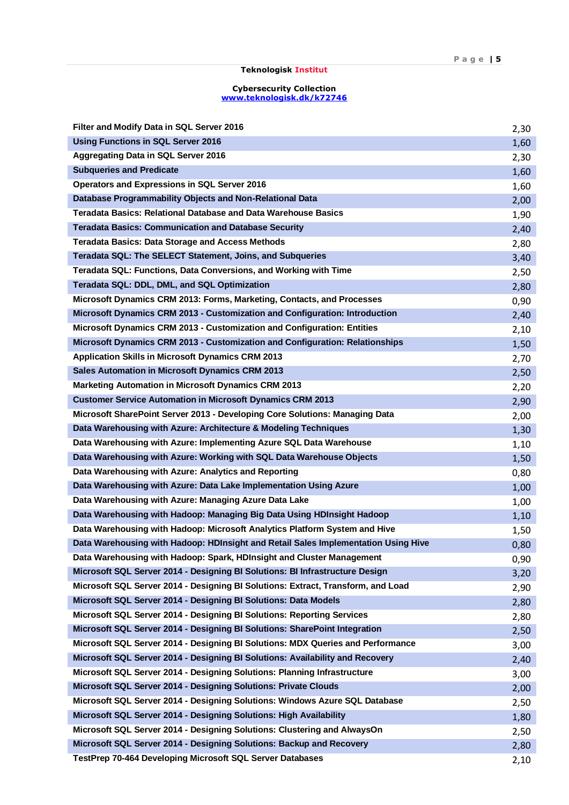| Filter and Modify Data in SQL Server 2016                                          | 2,30 |
|------------------------------------------------------------------------------------|------|
| <b>Using Functions in SQL Server 2016</b>                                          | 1,60 |
| Aggregating Data in SQL Server 2016                                                | 2,30 |
| <b>Subqueries and Predicate</b>                                                    | 1,60 |
| Operators and Expressions in SQL Server 2016                                       | 1,60 |
| Database Programmability Objects and Non-Relational Data                           | 2,00 |
| <b>Teradata Basics: Relational Database and Data Warehouse Basics</b>              | 1,90 |
| <b>Teradata Basics: Communication and Database Security</b>                        | 2,40 |
| <b>Teradata Basics: Data Storage and Access Methods</b>                            | 2,80 |
| Teradata SQL: The SELECT Statement, Joins, and Subqueries                          | 3,40 |
| Teradata SQL: Functions, Data Conversions, and Working with Time                   | 2,50 |
| Teradata SQL: DDL, DML, and SQL Optimization                                       | 2,80 |
| Microsoft Dynamics CRM 2013: Forms, Marketing, Contacts, and Processes             | 0,90 |
| Microsoft Dynamics CRM 2013 - Customization and Configuration: Introduction        | 2,40 |
| Microsoft Dynamics CRM 2013 - Customization and Configuration: Entities            | 2,10 |
| Microsoft Dynamics CRM 2013 - Customization and Configuration: Relationships       | 1,50 |
| <b>Application Skills in Microsoft Dynamics CRM 2013</b>                           | 2,70 |
| <b>Sales Automation in Microsoft Dynamics CRM 2013</b>                             | 2,50 |
| <b>Marketing Automation in Microsoft Dynamics CRM 2013</b>                         | 2,20 |
| <b>Customer Service Automation in Microsoft Dynamics CRM 2013</b>                  | 2,90 |
| Microsoft SharePoint Server 2013 - Developing Core Solutions: Managing Data        | 2,00 |
| Data Warehousing with Azure: Architecture & Modeling Techniques                    | 1,30 |
| Data Warehousing with Azure: Implementing Azure SQL Data Warehouse                 | 1,10 |
| Data Warehousing with Azure: Working with SQL Data Warehouse Objects               | 1,50 |
| Data Warehousing with Azure: Analytics and Reporting                               | 0,80 |
| Data Warehousing with Azure: Data Lake Implementation Using Azure                  | 1,00 |
| Data Warehousing with Azure: Managing Azure Data Lake                              | 1,00 |
| Data Warehousing with Hadoop: Managing Big Data Using HDInsight Hadoop             | 1,10 |
| Data Warehousing with Hadoop: Microsoft Analytics Platform System and Hive         | 1,50 |
| Data Warehousing with Hadoop: HDInsight and Retail Sales Implementation Using Hive | 0,80 |
| Data Warehousing with Hadoop: Spark, HDInsight and Cluster Management              | 0,90 |
| Microsoft SQL Server 2014 - Designing BI Solutions: BI Infrastructure Design       | 3,20 |
| Microsoft SQL Server 2014 - Designing BI Solutions: Extract, Transform, and Load   | 2,90 |
| Microsoft SQL Server 2014 - Designing BI Solutions: Data Models                    | 2,80 |
| Microsoft SQL Server 2014 - Designing BI Solutions: Reporting Services             | 2,80 |
| Microsoft SQL Server 2014 - Designing BI Solutions: SharePoint Integration         | 2,50 |
| Microsoft SQL Server 2014 - Designing BI Solutions: MDX Queries and Performance    | 3,00 |
| Microsoft SQL Server 2014 - Designing BI Solutions: Availability and Recovery      | 2,40 |
| Microsoft SQL Server 2014 - Designing Solutions: Planning Infrastructure           | 3,00 |
| Microsoft SQL Server 2014 - Designing Solutions: Private Clouds                    | 2,00 |
| Microsoft SQL Server 2014 - Designing Solutions: Windows Azure SQL Database        | 2,50 |
| Microsoft SQL Server 2014 - Designing Solutions: High Availability                 | 1,80 |
| Microsoft SQL Server 2014 - Designing Solutions: Clustering and AlwaysOn           | 2,50 |
| Microsoft SQL Server 2014 - Designing Solutions: Backup and Recovery               | 2,80 |
| TestPrep 70-464 Developing Microsoft SQL Server Databases                          | 2,10 |
|                                                                                    |      |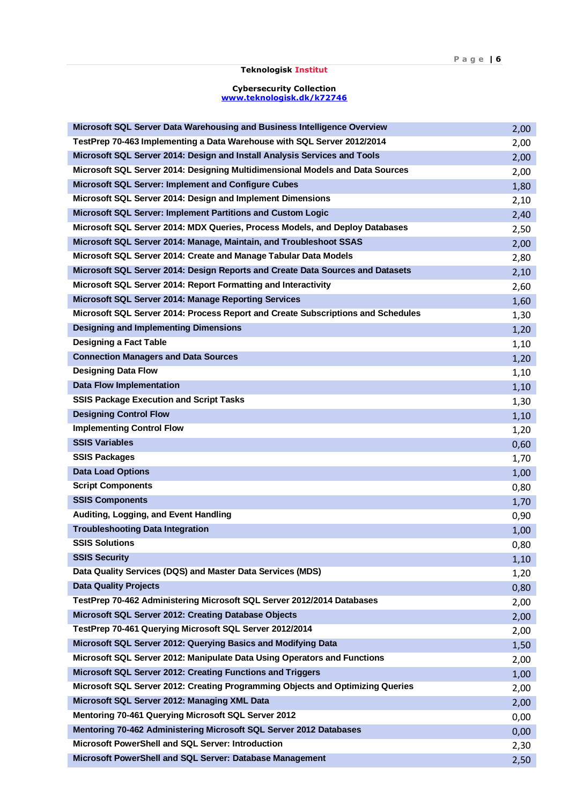| Microsoft SQL Server Data Warehousing and Business Intelligence Overview         | 2,00 |
|----------------------------------------------------------------------------------|------|
| TestPrep 70-463 Implementing a Data Warehouse with SQL Server 2012/2014          | 2,00 |
| Microsoft SQL Server 2014: Design and Install Analysis Services and Tools        | 2,00 |
| Microsoft SQL Server 2014: Designing Multidimensional Models and Data Sources    | 2,00 |
| Microsoft SQL Server: Implement and Configure Cubes                              | 1,80 |
| Microsoft SQL Server 2014: Design and Implement Dimensions                       | 2,10 |
| Microsoft SQL Server: Implement Partitions and Custom Logic                      | 2,40 |
| Microsoft SQL Server 2014: MDX Queries, Process Models, and Deploy Databases     | 2,50 |
| Microsoft SQL Server 2014: Manage, Maintain, and Troubleshoot SSAS               | 2,00 |
| Microsoft SQL Server 2014: Create and Manage Tabular Data Models                 | 2,80 |
| Microsoft SQL Server 2014: Design Reports and Create Data Sources and Datasets   | 2,10 |
| Microsoft SQL Server 2014: Report Formatting and Interactivity                   | 2,60 |
| Microsoft SQL Server 2014: Manage Reporting Services                             | 1,60 |
| Microsoft SQL Server 2014: Process Report and Create Subscriptions and Schedules | 1,30 |
| <b>Designing and Implementing Dimensions</b>                                     | 1,20 |
| <b>Designing a Fact Table</b>                                                    | 1,10 |
| <b>Connection Managers and Data Sources</b>                                      | 1,20 |
| <b>Designing Data Flow</b>                                                       | 1,10 |
| <b>Data Flow Implementation</b>                                                  | 1,10 |
| <b>SSIS Package Execution and Script Tasks</b>                                   | 1,30 |
| <b>Designing Control Flow</b>                                                    | 1,10 |
| <b>Implementing Control Flow</b>                                                 | 1,20 |
| <b>SSIS Variables</b>                                                            | 0,60 |
| <b>SSIS Packages</b>                                                             | 1,70 |
| <b>Data Load Options</b>                                                         | 1,00 |
| <b>Script Components</b>                                                         | 0,80 |
| <b>SSIS Components</b>                                                           | 1,70 |
| Auditing, Logging, and Event Handling                                            | 0,90 |
| <b>Troubleshooting Data Integration</b>                                          | 1,00 |
| <b>SSIS Solutions</b>                                                            | 0,80 |
| <b>SSIS Security</b>                                                             | 1,10 |
| Data Quality Services (DQS) and Master Data Services (MDS)                       | 1,20 |
| <b>Data Quality Projects</b>                                                     | 0,80 |
| TestPrep 70-462 Administering Microsoft SQL Server 2012/2014 Databases           | 2,00 |
| Microsoft SQL Server 2012: Creating Database Objects                             | 2,00 |
| TestPrep 70-461 Querying Microsoft SQL Server 2012/2014                          | 2,00 |
| Microsoft SQL Server 2012: Querying Basics and Modifying Data                    | 1,50 |
| Microsoft SQL Server 2012: Manipulate Data Using Operators and Functions         | 2,00 |
| Microsoft SQL Server 2012: Creating Functions and Triggers                       | 1,00 |
| Microsoft SQL Server 2012: Creating Programming Objects and Optimizing Queries   | 2,00 |
| Microsoft SQL Server 2012: Managing XML Data                                     | 2,00 |
| Mentoring 70-461 Querying Microsoft SQL Server 2012                              | 0,00 |
| Mentoring 70-462 Administering Microsoft SQL Server 2012 Databases               | 0,00 |
| Microsoft PowerShell and SQL Server: Introduction                                | 2,30 |
| Microsoft PowerShell and SQL Server: Database Management                         | 2,50 |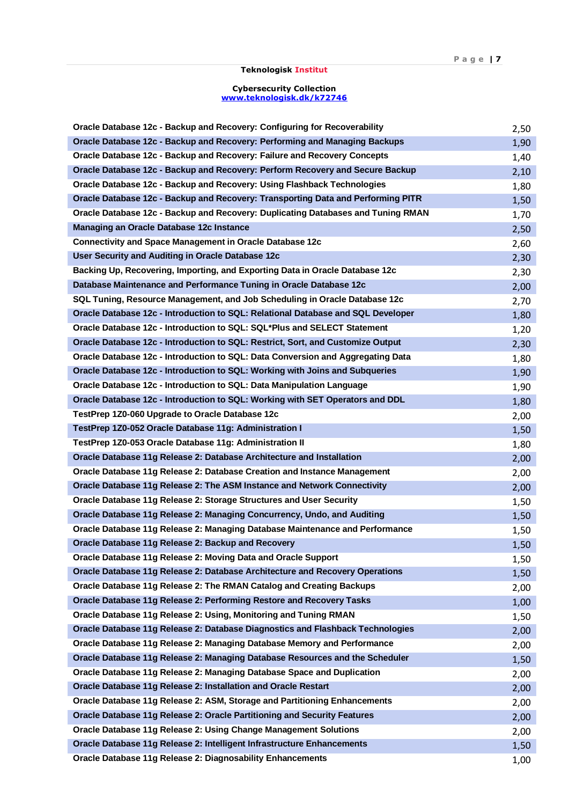| Oracle Database 12c - Backup and Recovery: Configuring for Recoverability        | 2,50 |
|----------------------------------------------------------------------------------|------|
| Oracle Database 12c - Backup and Recovery: Performing and Managing Backups       | 1,90 |
| Oracle Database 12c - Backup and Recovery: Failure and Recovery Concepts         | 1,40 |
| Oracle Database 12c - Backup and Recovery: Perform Recovery and Secure Backup    | 2,10 |
| Oracle Database 12c - Backup and Recovery: Using Flashback Technologies          | 1,80 |
| Oracle Database 12c - Backup and Recovery: Transporting Data and Performing PITR | 1,50 |
| Oracle Database 12c - Backup and Recovery: Duplicating Databases and Tuning RMAN | 1,70 |
| Managing an Oracle Database 12c Instance                                         | 2,50 |
| <b>Connectivity and Space Management in Oracle Database 12c</b>                  | 2,60 |
| User Security and Auditing in Oracle Database 12c                                | 2,30 |
| Backing Up, Recovering, Importing, and Exporting Data in Oracle Database 12c     | 2,30 |
| Database Maintenance and Performance Tuning in Oracle Database 12c               | 2,00 |
| SQL Tuning, Resource Management, and Job Scheduling in Oracle Database 12c       | 2,70 |
| Oracle Database 12c - Introduction to SQL: Relational Database and SQL Developer | 1,80 |
| Oracle Database 12c - Introduction to SQL: SQL*Plus and SELECT Statement         | 1,20 |
| Oracle Database 12c - Introduction to SQL: Restrict, Sort, and Customize Output  | 2,30 |
| Oracle Database 12c - Introduction to SQL: Data Conversion and Aggregating Data  | 1,80 |
| Oracle Database 12c - Introduction to SQL: Working with Joins and Subqueries     | 1,90 |
| Oracle Database 12c - Introduction to SQL: Data Manipulation Language            | 1,90 |
| Oracle Database 12c - Introduction to SQL: Working with SET Operators and DDL    | 1,80 |
| TestPrep 1Z0-060 Upgrade to Oracle Database 12c                                  | 2,00 |
| TestPrep 1Z0-052 Oracle Database 11g: Administration I                           | 1,50 |
| TestPrep 1Z0-053 Oracle Database 11g: Administration II                          | 1,80 |
| Oracle Database 11g Release 2: Database Architecture and Installation            | 2,00 |
| Oracle Database 11g Release 2: Database Creation and Instance Management         | 2,00 |
| Oracle Database 11g Release 2: The ASM Instance and Network Connectivity         | 2,00 |
| Oracle Database 11g Release 2: Storage Structures and User Security              | 1,50 |
| Oracle Database 11g Release 2: Managing Concurrency, Undo, and Auditing          | 1,50 |
| Oracle Database 11g Release 2: Managing Database Maintenance and Performance     | 1,50 |
| Oracle Database 11g Release 2: Backup and Recovery                               | 1,50 |
| Oracle Database 11g Release 2: Moving Data and Oracle Support                    | 1,50 |
| Oracle Database 11g Release 2: Database Architecture and Recovery Operations     | 1,50 |
| Oracle Database 11g Release 2: The RMAN Catalog and Creating Backups             | 2,00 |
| Oracle Database 11g Release 2: Performing Restore and Recovery Tasks             | 1,00 |
| Oracle Database 11g Release 2: Using, Monitoring and Tuning RMAN                 | 1,50 |
| Oracle Database 11g Release 2: Database Diagnostics and Flashback Technologies   | 2,00 |
| Oracle Database 11g Release 2: Managing Database Memory and Performance          | 2,00 |
| Oracle Database 11g Release 2: Managing Database Resources and the Scheduler     | 1,50 |
| Oracle Database 11g Release 2: Managing Database Space and Duplication           | 2,00 |
| Oracle Database 11g Release 2: Installation and Oracle Restart                   | 2,00 |
| Oracle Database 11g Release 2: ASM, Storage and Partitioning Enhancements        | 2,00 |
| Oracle Database 11g Release 2: Oracle Partitioning and Security Features         | 2,00 |
| Oracle Database 11g Release 2: Using Change Management Solutions                 | 2,00 |
| Oracle Database 11g Release 2: Intelligent Infrastructure Enhancements           | 1,50 |
| Oracle Database 11g Release 2: Diagnosability Enhancements                       | 1,00 |